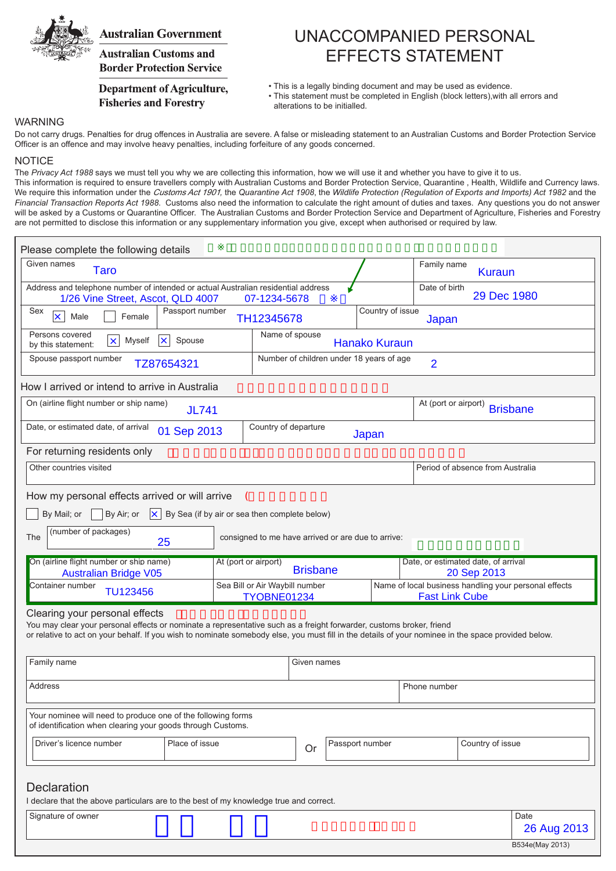

## **Australian Government**

**Australian Customs and Border Protection Service** 

### **Department of Agriculture, Fisheries and Forestry**

# UNACCOMPANIED PERSONAL EFFECTS STATEMENT

• This is a legally binding document and may be used as evidence.

• This statement must be completed in English (block letters),with all errors and alterations to be initialled.

#### WARNING

Do not carry drugs. Penalties for drug offences in Australia are severe. A false or misleading statement to an Australian Customs and Border Protection Service Officer is an offence and may involve heavy penalties, including forfeiture of any goods concerned.

#### **NOTICE**

The *Privacy Act 1988* says we must tell you why we are collecting this information, how we will use it and whether you have to give it to us. This information is required to ensure travellers comply with Australian Customs and Border Protection Service, Quarantine , Health, Wildlife and Currency laws. We require this information under the Customs Act 1901*,* the *Quarantine Act 1908*, the *Wildlife Protection (Regulation of Exports and Imports) Act 1982* and the *Financial Transaction Reports Act 1988*. Customs also need the information to calculate the right amount of duties and taxes. Any questions you do not answer will be asked by a Customs or Quarantine Officer. The Australian Customs and Border Protection Service and Department of Agriculture, Fisheries and Forestry are not permitted to disclose this information or any supplementary information you give, except when authorised or required by law.

| Please complete the following details                                                                                                                                                                                                                                                                         |                                               |                                                            |                                             |                      |                      |                                     |                                                       |             |
|---------------------------------------------------------------------------------------------------------------------------------------------------------------------------------------------------------------------------------------------------------------------------------------------------------------|-----------------------------------------------|------------------------------------------------------------|---------------------------------------------|----------------------|----------------------|-------------------------------------|-------------------------------------------------------|-------------|
| Given names<br><b>Taro</b>                                                                                                                                                                                                                                                                                    |                                               |                                                            |                                             |                      |                      |                                     | Family name<br><b>Kuraun</b>                          |             |
| Address and telephone number of intended or actual Australian residential address<br>1/26 Vine Street, Ascot, QLD 4007<br>07-1234-5678                                                                                                                                                                        |                                               |                                                            |                                             |                      |                      | Date of birth                       | 29 Dec 1980                                           |             |
| Sex<br>Female<br>Male<br>×.                                                                                                                                                                                                                                                                                   | Passport number                               | TH12345678                                                 |                                             |                      |                      | Country of issue<br>Japan           |                                                       |             |
| Persons covered<br>$\vert x \vert$<br>Myself<br>Spouse<br>l×.<br>by this statement:                                                                                                                                                                                                                           |                                               | Name of spouse                                             |                                             | <b>Hanako Kuraun</b> |                      |                                     |                                                       |             |
| Spouse passport number<br>TZ87654321                                                                                                                                                                                                                                                                          |                                               | Number of children under 18 years of age<br>$\overline{2}$ |                                             |                      |                      |                                     |                                                       |             |
| How I arrived or intend to arrive in Australia                                                                                                                                                                                                                                                                |                                               |                                                            |                                             |                      |                      |                                     |                                                       |             |
| On (airline flight number or ship name)<br><b>JL741</b>                                                                                                                                                                                                                                                       |                                               |                                                            |                                             |                      | At (port or airport) | <b>Brisbane</b>                     |                                                       |             |
| Date, or estimated date, of arrival<br>01 Sep 2013                                                                                                                                                                                                                                                            |                                               | Country of departure                                       |                                             | Japan                |                      |                                     |                                                       |             |
| For returning residents only                                                                                                                                                                                                                                                                                  |                                               |                                                            |                                             |                      |                      |                                     |                                                       |             |
| Other countries visited                                                                                                                                                                                                                                                                                       |                                               |                                                            |                                             |                      |                      |                                     | Period of absence from Australia                      |             |
| How my personal effects arrived or will arrive                                                                                                                                                                                                                                                                | $\left($                                      |                                                            |                                             |                      |                      |                                     |                                                       |             |
| By Air; or<br>By Mail; or<br>$\mathsf{\times}$                                                                                                                                                                                                                                                                | By Sea (if by air or sea then complete below) |                                                            |                                             |                      |                      |                                     |                                                       |             |
| (number of packages)<br>The<br>25                                                                                                                                                                                                                                                                             |                                               | consigned to me have arrived or are due to arrive:         |                                             |                      |                      |                                     |                                                       |             |
| On (airline flight number or ship name)                                                                                                                                                                                                                                                                       |                                               | At (port or airport)                                       | <b>Brisbane</b>                             |                      |                      | Date, or estimated date, of arrival |                                                       |             |
| <b>Australian Bridge V05</b><br>Container number                                                                                                                                                                                                                                                              |                                               | Sea Bill or Air Waybill number                             |                                             |                      |                      | 20 Sep 2013                         | Name of local business handling your personal effects |             |
| TU123456                                                                                                                                                                                                                                                                                                      |                                               |                                                            | <b>Fast Link Cube</b><br><b>TYOBNE01234</b> |                      |                      |                                     |                                                       |             |
| Clearing your personal effects<br>You may clear your personal effects or nominate a representative such as a freight forwarder, customs broker, friend<br>or relative to act on your behalf. If you wish to nominate somebody else, you must fill in the details of your nominee in the space provided below. |                                               |                                                            |                                             |                      |                      |                                     |                                                       |             |
| Family name                                                                                                                                                                                                                                                                                                   |                                               |                                                            | Given names                                 |                      |                      |                                     |                                                       |             |
| Address                                                                                                                                                                                                                                                                                                       |                                               |                                                            |                                             |                      |                      | Phone number                        |                                                       |             |
| Your nominee will need to produce one of the following forms<br>of identification when clearing your goods through Customs.                                                                                                                                                                                   |                                               |                                                            |                                             |                      |                      |                                     |                                                       |             |
| Driver's licence number                                                                                                                                                                                                                                                                                       | Place of issue                                |                                                            | Or                                          |                      | Passport number      |                                     | Country of issue                                      |             |
| <b>Declaration</b><br>I declare that the above particulars are to the best of my knowledge true and correct.                                                                                                                                                                                                  |                                               |                                                            |                                             |                      |                      |                                     |                                                       |             |
| Signature of owner                                                                                                                                                                                                                                                                                            |                                               |                                                            |                                             |                      |                      |                                     |                                                       | Date        |
|                                                                                                                                                                                                                                                                                                               |                                               |                                                            |                                             |                      |                      |                                     |                                                       | 26 Aug 2013 |

B534e(May 2013)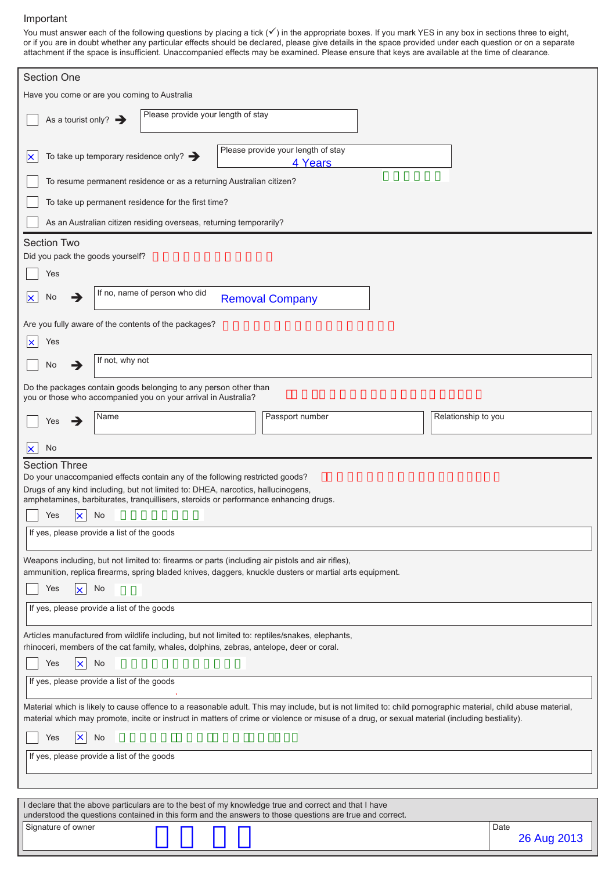#### Important

You must answer each of the following questions by placing a tick  $(\checkmark)$  in the appropriate boxes. If you mark YES in any box in sections three to eight, or if you are in doubt whether any particular effects should be declared, please give details in the space provided under each question or on a separate attachment if the space is insufficient. Unaccompanied effects may be examined. Please ensure that keys are available at the time of clearance.

| <b>Section One</b>                                                                                                                                                                                                                                                                                             |             |
|----------------------------------------------------------------------------------------------------------------------------------------------------------------------------------------------------------------------------------------------------------------------------------------------------------------|-------------|
| Have you come or are you coming to Australia                                                                                                                                                                                                                                                                   |             |
| Please provide your length of stay<br>As a tourist only? $\rightarrow$                                                                                                                                                                                                                                         |             |
| Please provide your length of stay<br>To take up temporary residence only? $\rightarrow$<br>×<br>4 Years                                                                                                                                                                                                       |             |
| To resume permanent residence or as a returning Australian citizen?                                                                                                                                                                                                                                            |             |
| To take up permanent residence for the first time?                                                                                                                                                                                                                                                             |             |
| As an Australian citizen residing overseas, returning temporarily?                                                                                                                                                                                                                                             |             |
| <b>Section Two</b><br>Did you pack the goods yourself?                                                                                                                                                                                                                                                         |             |
| Yes                                                                                                                                                                                                                                                                                                            |             |
| If no, name of person who did<br>No<br>→<br><b>Removal Company</b>                                                                                                                                                                                                                                             |             |
| Are you fully aware of the contents of the packages?                                                                                                                                                                                                                                                           |             |
| Yes                                                                                                                                                                                                                                                                                                            |             |
| If not, why not<br>No<br>→                                                                                                                                                                                                                                                                                     |             |
| Do the packages contain goods belonging to any person other than<br>you or those who accompanied you on your arrival in Australia?                                                                                                                                                                             |             |
| Passport number<br>Relationship to you<br>Name<br>→<br>Yes                                                                                                                                                                                                                                                     |             |
| No                                                                                                                                                                                                                                                                                                             |             |
| <b>Section Three</b><br>Do your unaccompanied effects contain any of the following restricted goods?                                                                                                                                                                                                           |             |
| Drugs of any kind including, but not limited to: DHEA, narcotics, hallucinogens,<br>amphetamines, barbiturates, tranquillisers, steroids or performance enhancing drugs.                                                                                                                                       |             |
| No<br>Yes<br>×                                                                                                                                                                                                                                                                                                 |             |
| If yes, please provide a list of the goods                                                                                                                                                                                                                                                                     |             |
| Weapons including, but not limited to: firearms or parts (including air pistols and air rifles),<br>ammunition, replica firearms, spring bladed knives, daggers, knuckle dusters or martial arts equipment.                                                                                                    |             |
| Yes<br>No                                                                                                                                                                                                                                                                                                      |             |
| If yes, please provide a list of the goods                                                                                                                                                                                                                                                                     |             |
| Articles manufactured from wildlife including, but not limited to: reptiles/snakes, elephants,<br>rhinoceri, members of the cat family, whales, dolphins, zebras, antelope, deer or coral.                                                                                                                     |             |
| Yes<br>No<br>×                                                                                                                                                                                                                                                                                                 |             |
| If yes, please provide a list of the goods                                                                                                                                                                                                                                                                     |             |
| Material which is likely to cause offence to a reasonable adult. This may include, but is not limited to: child pornographic material, child abuse material,<br>material which may promote, incite or instruct in matters of crime or violence or misuse of a drug, or sexual material (including bestiality). |             |
| $\boldsymbol{\mathsf{x}}$<br>No<br>Yes                                                                                                                                                                                                                                                                         |             |
| If yes, please provide a list of the goods                                                                                                                                                                                                                                                                     |             |
|                                                                                                                                                                                                                                                                                                                |             |
| I declare that the above particulars are to the best of my knowledge true and correct and that I have                                                                                                                                                                                                          |             |
| understood the questions contained in this form and the answers to those questions are true and correct.<br>Signature of owner                                                                                                                                                                                 | Date        |
|                                                                                                                                                                                                                                                                                                                | 26 Aug 2013 |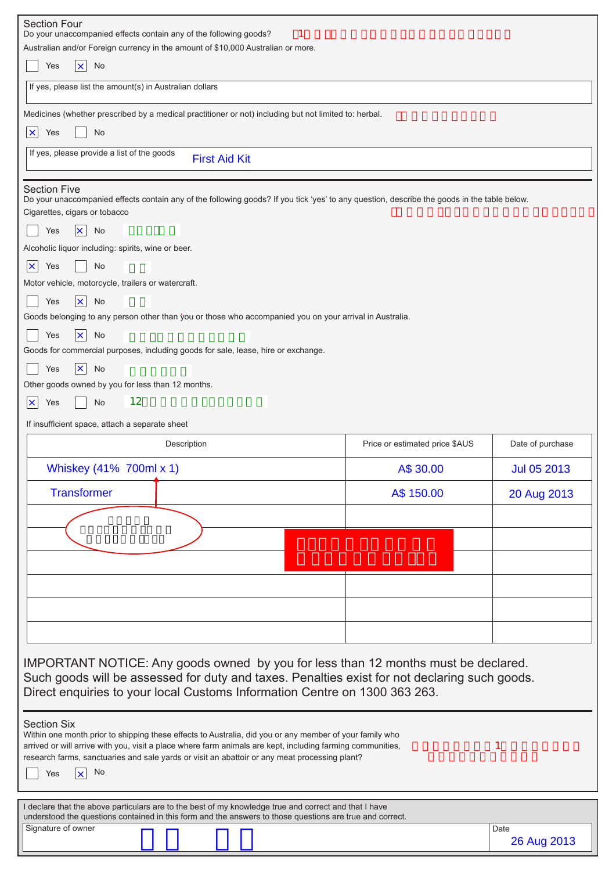| <b>Section Four</b><br>Do your unaccompanied effects contain any of the following goods?                                                                                                                              |                                |                     |  |  |  |  |  |
|-----------------------------------------------------------------------------------------------------------------------------------------------------------------------------------------------------------------------|--------------------------------|---------------------|--|--|--|--|--|
| Australian and/or Foreign currency in the amount of \$10,000 Australian or more.                                                                                                                                      |                                |                     |  |  |  |  |  |
| $ \mathbf{x} $<br>No<br>Yes                                                                                                                                                                                           |                                |                     |  |  |  |  |  |
| If yes, please list the amount(s) in Australian dollars                                                                                                                                                               |                                |                     |  |  |  |  |  |
| Medicines (whether prescribed by a medical practitioner or not) including but not limited to: herbal.                                                                                                                 |                                |                     |  |  |  |  |  |
| Yes<br>No<br>$\pmb{\times}$                                                                                                                                                                                           |                                |                     |  |  |  |  |  |
| If yes, please provide a list of the goods<br><b>First Aid Kit</b>                                                                                                                                                    |                                |                     |  |  |  |  |  |
|                                                                                                                                                                                                                       |                                |                     |  |  |  |  |  |
| <b>Section Five</b><br>Do your unaccompanied effects contain any of the following goods? If you tick 'yes' to any question, describe the goods in the table below.                                                    |                                |                     |  |  |  |  |  |
| Cigarettes, cigars or tobacco                                                                                                                                                                                         |                                |                     |  |  |  |  |  |
| Yes<br>No<br>$\vert x \vert$                                                                                                                                                                                          |                                |                     |  |  |  |  |  |
| Alcoholic liquor including: spirits, wine or beer.                                                                                                                                                                    |                                |                     |  |  |  |  |  |
| No<br>× <br>Yes                                                                                                                                                                                                       |                                |                     |  |  |  |  |  |
| Motor vehicle, motorcycle, trailers or watercraft.                                                                                                                                                                    |                                |                     |  |  |  |  |  |
| Yes<br>No<br>$\vert x \vert$                                                                                                                                                                                          |                                |                     |  |  |  |  |  |
| Goods belonging to any person other than you or those who accompanied you on your arrival in Australia.                                                                                                               |                                |                     |  |  |  |  |  |
| Yes<br>$ \mathsf{x} $<br>No                                                                                                                                                                                           |                                |                     |  |  |  |  |  |
| Goods for commercial purposes, including goods for sale, lease, hire or exchange.                                                                                                                                     |                                |                     |  |  |  |  |  |
| $\vert x \vert$<br>Yes<br>No                                                                                                                                                                                          |                                |                     |  |  |  |  |  |
| Other goods owned by you for less than 12 months.                                                                                                                                                                     |                                |                     |  |  |  |  |  |
| 12<br>No<br><b>x</b><br>Yes                                                                                                                                                                                           |                                |                     |  |  |  |  |  |
| If insufficient space, attach a separate sheet                                                                                                                                                                        |                                |                     |  |  |  |  |  |
|                                                                                                                                                                                                                       |                                |                     |  |  |  |  |  |
| Description                                                                                                                                                                                                           | Price or estimated price \$AUS | Date of purchase    |  |  |  |  |  |
| Whiskey (41% 700ml x 1)                                                                                                                                                                                               | A\$ 30.00                      | Jul 05 2013         |  |  |  |  |  |
| <b>Transformer</b>                                                                                                                                                                                                    | A\$ 150.00                     | 20 Aug 2013         |  |  |  |  |  |
|                                                                                                                                                                                                                       |                                |                     |  |  |  |  |  |
|                                                                                                                                                                                                                       |                                |                     |  |  |  |  |  |
|                                                                                                                                                                                                                       |                                |                     |  |  |  |  |  |
|                                                                                                                                                                                                                       |                                |                     |  |  |  |  |  |
|                                                                                                                                                                                                                       |                                |                     |  |  |  |  |  |
|                                                                                                                                                                                                                       |                                |                     |  |  |  |  |  |
|                                                                                                                                                                                                                       |                                |                     |  |  |  |  |  |
|                                                                                                                                                                                                                       |                                |                     |  |  |  |  |  |
|                                                                                                                                                                                                                       |                                |                     |  |  |  |  |  |
| IMPORTANT NOTICE: Any goods owned by you for less than 12 months must be declared.                                                                                                                                    |                                |                     |  |  |  |  |  |
| Such goods will be assessed for duty and taxes. Penalties exist for not declaring such goods.<br>Direct enquiries to your local Customs Information Centre on 1300 363 263.                                           |                                |                     |  |  |  |  |  |
|                                                                                                                                                                                                                       |                                |                     |  |  |  |  |  |
| <b>Section Six</b>                                                                                                                                                                                                    |                                |                     |  |  |  |  |  |
| Within one month prior to shipping these effects to Australia, did you or any member of your family who<br>arrived or will arrive with you, visit a place where farm animals are kept, including farming communities, |                                |                     |  |  |  |  |  |
| research farms, sanctuaries and sale yards or visit an abattoir or any meat processing plant?                                                                                                                         |                                |                     |  |  |  |  |  |
| No<br>Yes<br>$\mathbf{x}$                                                                                                                                                                                             |                                |                     |  |  |  |  |  |
|                                                                                                                                                                                                                       |                                |                     |  |  |  |  |  |
| I declare that the above particulars are to the best of my knowledge true and correct and that I have<br>understood the questions contained in this form and the answers to those questions are true and correct.     |                                |                     |  |  |  |  |  |
| Signature of owner                                                                                                                                                                                                    |                                | Date<br>26 Aug 2013 |  |  |  |  |  |

L